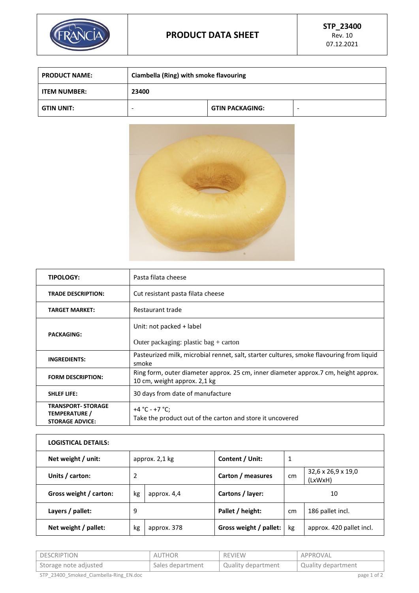

| <b>PRODUCT NAME:</b> | Ciambella (Ring) with smoke flavouring |                        |  |
|----------------------|----------------------------------------|------------------------|--|
| <b>ITEM NUMBER:</b>  | 23400                                  |                        |  |
| <b>GTIN UNIT:</b>    | -                                      | <b>GTIN PACKAGING:</b> |  |



| <b>TIPOLOGY:</b>                                                     | Pasta filata cheese                                                                                                 |
|----------------------------------------------------------------------|---------------------------------------------------------------------------------------------------------------------|
| <b>TRADE DESCRIPTION:</b>                                            | Cut resistant pasta filata cheese                                                                                   |
| <b>TARGET MARKET:</b>                                                | Restaurant trade                                                                                                    |
|                                                                      | Unit: not packed + label                                                                                            |
| <b>PACKAGING:</b>                                                    | Outer packaging: plastic bag $+$ carton                                                                             |
| <b>INGREDIENTS:</b>                                                  | Pasteurized milk, microbial rennet, salt, starter cultures, smoke flavouring from liquid<br>smoke                   |
| <b>FORM DESCRIPTION:</b>                                             | Ring form, outer diameter approx. 25 cm, inner diameter approx.7 cm, height approx.<br>10 cm, weight approx. 2,1 kg |
| <b>SHLEF LIFE:</b>                                                   | 30 days from date of manufacture                                                                                    |
| <b>TRANSPORT- STORAGE</b><br>TEMPERATURE /<br><b>STORAGE ADVICE:</b> | +4 °C - +7 °C;<br>Take the product out of the carton and store it uncovered                                         |

| <b>LOGISTICAL DETAILS:</b> |                |             |                        |    |                               |
|----------------------------|----------------|-------------|------------------------|----|-------------------------------|
| Net weight / unit:         | approx. 2,1 kg |             | Content / Unit:        | 1  |                               |
| Units / carton:            | 2              |             | Carton / measures      | cm | 32,6 x 26,9 x 19,0<br>(LxWxH) |
| Gross weight / carton:     | kg             | approx. 4,4 | Cartons / layer:       |    | 10                            |
| Layers / pallet:           | 9              |             | Pallet / height:       | cm | 186 pallet incl.              |
| Net weight / pallet:       | kg             | approx. 378 | Gross weight / pallet: | kg | approx. 420 pallet incl.      |

| <b>DESCRIPTION</b>                     | AUTHOR           | REVIEW             | APPROVAL           |
|----------------------------------------|------------------|--------------------|--------------------|
| Storage note adjusted                  | Sales department | Quality department | Quality department |
| STP 23400 Smoked Ciambella-Ring EN.doc |                  |                    | page 1 of 2        |